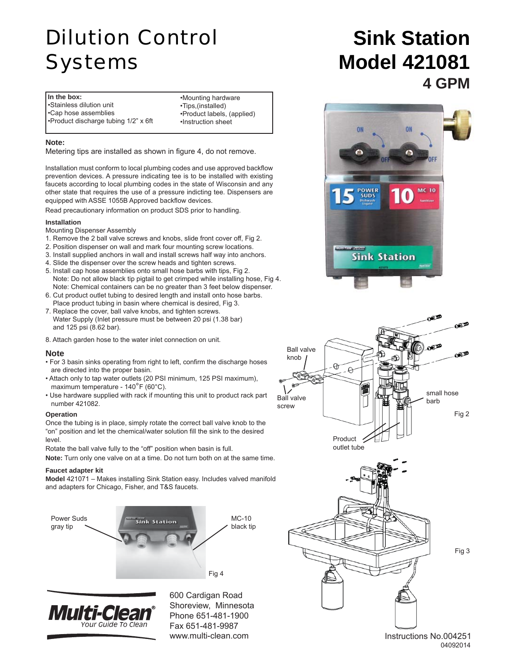# Dilution Control Systems

**In the box:** •Stainless dilution unit •Cap hose assemblies •Product discharge tubing 1/2" x 6ft

•Mounting hardware •Tips,(installed) •Product labels, (applied) •Instruction sheet

### **Note:**

Metering tips are installed as shown in figure 4, do not remove.

Installation must conform to local plumbing codes and use approved backflow prevention devices. A pressure indicating tee is to be installed with existing faucets according to local plumbing codes in the state of Wisconsin and any other state that requires the use of a pressure indicting tee. Dispensers are equipped with ASSE 1055B Approved backflow devices.

Read precautionary information on product SDS prior to handling.

### **Installation**

Mounting Dispenser Assembly

- 1. Remove the 2 ball valve screws and knobs, slide front cover off, Fig 2.
- 2. Position dispenser on wall and mark four mounting screw locations.
- 3. Install supplied anchors in wall and install screws half way into anchors.
- 4. Slide the dispenser over the screw heads and tighten screws.
- 5. Install cap hose assemblies onto small hose barbs with tips, Fig 2. Note: Do not allow black tip pigtail to get crimped while installing hose, Fig 4. Note: Chemical containers can be no greater than 3 feet below dispenser.
- 6. Cut product outlet tubing to desired length and install onto hose barbs. Place product tubing in basin where chemical is desired, Fig 3.
- 7. Replace the cover, ball valve knobs, and tighten screws. Water Supply (Inlet pressure must be between 20 psi (1.38 bar) and 125 psi (8.62 bar).
- 8. Attach garden hose to the water inlet connection on unit.

### **Note**

- For 3 basin sinks operating from right to left, confirm the discharge hoses are directed into the proper basin.
- Attach only to tap water outlets (20 PSI minimum, 125 PSI maximum), maximum temperature - 140°F (60°C).
- Use hardware supplied with rack if mounting this unit to product rack part number 421082.

#### **Operation**

Once the tubing is in place, simply rotate the correct ball valve knob to the "on" position and let the chemical/water solution fill the sink to the desired level.

Rotate the ball valve fully to the "off" position when basin is full.

**Note:** Turn only one valve on at a time. Do not turn both on at the same time.

#### **Faucet adapter kit**

**Model** 421071 – Makes installing Sink Station easy. Includes valved manifold and adapters for Chicago, Fisher, and T&S faucets.





600 Cardigan Road Shoreview, Minnesota Phone 651-481-1900 Fax 651-481-9987 www.multi-clean.com

## **Sink Station Model 421081 4 GPM**







Fig 3

Instructions No.004251 04092014